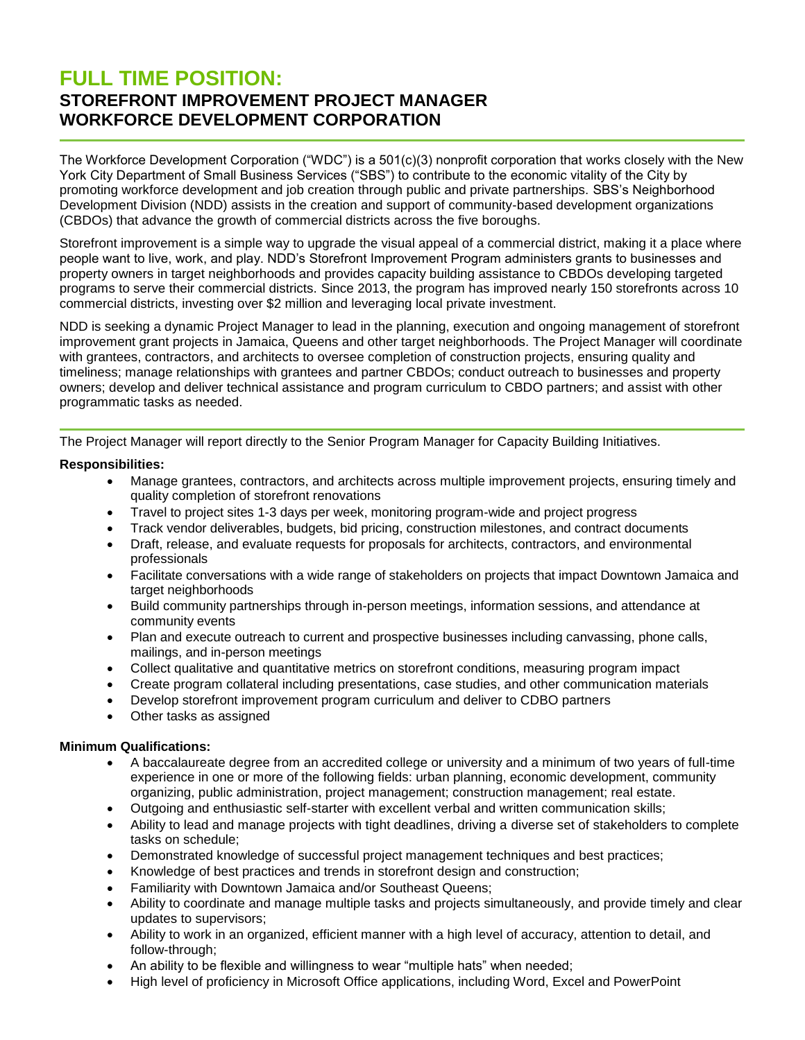# **FULL TIME POSITION: STOREFRONT IMPROVEMENT PROJECT MANAGER WORKFORCE DEVELOPMENT CORPORATION**

The Workforce Development Corporation ("WDC") is a 501(c)(3) nonprofit corporation that works closely with the New York City Department of Small Business Services ("SBS") to contribute to the economic vitality of the City by promoting workforce development and job creation through public and private partnerships. SBS's Neighborhood Development Division (NDD) assists in the creation and support of community-based development organizations (CBDOs) that advance the growth of commercial districts across the five boroughs.

Storefront improvement is a simple way to upgrade the visual appeal of a commercial district, making it a place where people want to live, work, and play. NDD's Storefront Improvement Program administers grants to businesses and property owners in target neighborhoods and provides capacity building assistance to CBDOs developing targeted programs to serve their commercial districts. Since 2013, the program has improved nearly 150 storefronts across 10 commercial districts, investing over \$2 million and leveraging local private investment.

NDD is seeking a dynamic Project Manager to lead in the planning, execution and ongoing management of storefront improvement grant projects in Jamaica, Queens and other target neighborhoods. The Project Manager will coordinate with grantees, contractors, and architects to oversee completion of construction projects, ensuring quality and timeliness; manage relationships with grantees and partner CBDOs; conduct outreach to businesses and property owners; develop and deliver technical assistance and program curriculum to CBDO partners; and assist with other programmatic tasks as needed.

The Project Manager will report directly to the Senior Program Manager for Capacity Building Initiatives.

## **Responsibilities:**

- Manage grantees, contractors, and architects across multiple improvement projects, ensuring timely and quality completion of storefront renovations
- Travel to project sites 1-3 days per week, monitoring program-wide and project progress
- Track vendor deliverables, budgets, bid pricing, construction milestones, and contract documents
- Draft, release, and evaluate requests for proposals for architects, contractors, and environmental professionals
- Facilitate conversations with a wide range of stakeholders on projects that impact Downtown Jamaica and target neighborhoods
- Build community partnerships through in-person meetings, information sessions, and attendance at community events
- Plan and execute outreach to current and prospective businesses including canvassing, phone calls, mailings, and in-person meetings
- Collect qualitative and quantitative metrics on storefront conditions, measuring program impact
- Create program collateral including presentations, case studies, and other communication materials
- Develop storefront improvement program curriculum and deliver to CDBO partners
- Other tasks as assigned

### **Minimum Qualifications:**

- A baccalaureate degree from an accredited college or university and a minimum of two years of full-time experience in one or more of the following fields: urban planning, economic development, community organizing, public administration, project management; construction management; real estate.
- Outgoing and enthusiastic self-starter with excellent verbal and written communication skills;
- Ability to lead and manage projects with tight deadlines, driving a diverse set of stakeholders to complete tasks on schedule;
- Demonstrated knowledge of successful project management techniques and best practices;
- Knowledge of best practices and trends in storefront design and construction;
- Familiarity with Downtown Jamaica and/or Southeast Queens;
- Ability to coordinate and manage multiple tasks and projects simultaneously, and provide timely and clear updates to supervisors;
- Ability to work in an organized, efficient manner with a high level of accuracy, attention to detail, and follow-through;
- An ability to be flexible and willingness to wear "multiple hats" when needed;
- High level of proficiency in Microsoft Office applications, including Word, Excel and PowerPoint